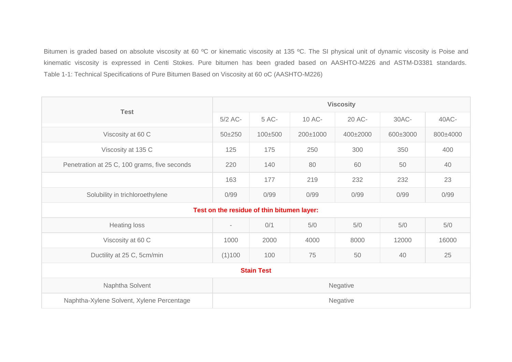Bitumen is graded based on absolute viscosity at 60 °C or kinematic viscosity at 135 °C. The SI physical unit of dynamic viscosity is Poise and kinematic viscosity is expressed in Centi Stokes. Pure bitumen has been graded based on AASHTO-M226 and ASTM-D3381 standards. Table 1-1: Technical Specifications of Pure Bitumen Based on Viscosity at 60 oC (AASHTO-M226)

| <b>Test</b>                                  | <b>Viscosity</b>         |                                            |          |          |          |          |  |
|----------------------------------------------|--------------------------|--------------------------------------------|----------|----------|----------|----------|--|
|                                              | 5/2 AC-                  | 5 AC-                                      | 10 AC-   | 20 AC-   | 30AC-    | 40AC-    |  |
| Viscosity at 60 C                            | $50 + 250$               | 100±500                                    | 200±1000 | 400±2000 | 600±3000 | 800±4000 |  |
| Viscosity at 135 C                           | 125                      | 175                                        | 250      | 300      | 350      | 400      |  |
| Penetration at 25 C, 100 grams, five seconds | 220                      | 140                                        | 80       | 60       | 50       | 40       |  |
|                                              | 163                      | 177                                        | 219      | 232      | 232      | 23       |  |
| Solubility in trichloroethylene              | 0/99                     | 0/99                                       | 0/99     | 0/99     | 0/99     | 0/99     |  |
|                                              |                          | Test on the residue of thin bitumen layer: |          |          |          |          |  |
| <b>Heating loss</b>                          | $\overline{\phantom{a}}$ | 0/1                                        | 5/0      | 5/0      | 5/0      | 5/0      |  |
| Viscosity at 60 C                            | 1000                     | 2000                                       | 4000     | 8000     | 12000    | 16000    |  |
| Ductility at 25 C, 5cm/min                   | (1)100                   | 100                                        | 75       | 50       | 40       | 25       |  |
| <b>Stain Test</b>                            |                          |                                            |          |          |          |          |  |
| Naphtha Solvent                              | Negative                 |                                            |          |          |          |          |  |
| Naphtha-Xylene Solvent, Xylene Percentage    | Negative                 |                                            |          |          |          |          |  |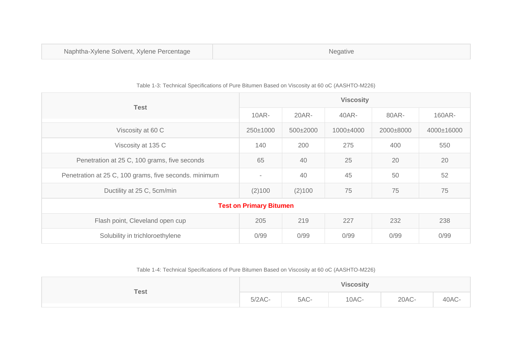| <b>Test</b>                                           | <b>Viscosity</b>         |          |               |           |            |  |  |
|-------------------------------------------------------|--------------------------|----------|---------------|-----------|------------|--|--|
|                                                       | 10AR-                    | $20AR -$ | 40AR-         | 80AR-     | 160AR-     |  |  |
| Viscosity at 60 C                                     | 250±1000                 | 500±2000 | $1000\pm4000$ | 2000±8000 | 4000±16000 |  |  |
| Viscosity at 135 C                                    | 140                      | 200      | 275           | 400       | 550        |  |  |
| Penetration at 25 C, 100 grams, five seconds          | 65                       | 40       | 25            | 20        | 20         |  |  |
| Penetration at 25 C, 100 grams, five seconds. minimum | $\overline{\phantom{a}}$ | 40       | 45            | 50        | 52         |  |  |
| Ductility at 25 C, 5cm/min                            | (2)100                   | (2)100   | 75            | 75        | 75         |  |  |
| <b>Test on Primary Bitumen</b>                        |                          |          |               |           |            |  |  |
| Flash point, Cleveland open cup                       | 205                      | 219      | 227           | 232       | 238        |  |  |
| Solubility in trichloroethylene                       | 0/99                     | 0/99     | 0/99          | 0/99      | 0/99       |  |  |

## Table 1-3: Technical Specifications of Pure Bitumen Based on Viscosity at 60 oC (AASHTO-M226)

Table 1-4: Technical Specifications of Pure Bitumen Based on Viscosity at 60 oC (AASHTO-M226)

| <b>Test</b> | <b>Viscosity</b> |      |       |       |       |  |
|-------------|------------------|------|-------|-------|-------|--|
|             | $5/2AC-$         | 5AC- | 10AC- | 20AC- | 40AC- |  |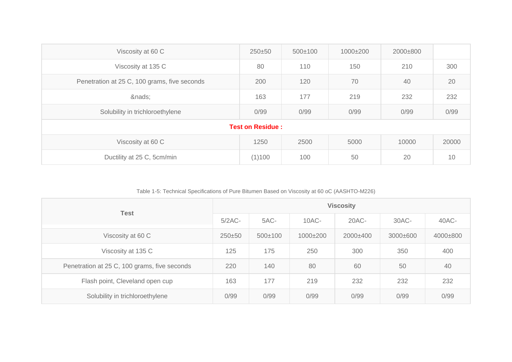| Viscosity at 60 C                            | 250±50                  | $500 \pm 100$ | 1000±200 | 2000±800 |       |
|----------------------------------------------|-------------------------|---------------|----------|----------|-------|
| Viscosity at 135 C                           | 80                      | 110           | 150      | 210      | 300   |
| Penetration at 25 C, 100 grams, five seconds | 200                     | 120           | 70       | 40       | 20    |
| &nads                                        | 163                     | 177           | 219      | 232      | 232   |
| Solubility in trichloroethylene              | 0/99                    | 0/99          | 0/99     | 0/99     | 0/99  |
|                                              | <b>Test on Residue:</b> |               |          |          |       |
| Viscosity at 60 C                            | 1250                    | 2500          | 5000     | 10000    | 20000 |
| Ductility at 25 C, 5cm/min                   | (1)100                  | 100           | 50       | 20       | 10    |

Table 1-5: Technical Specifications of Pure Bitumen Based on Viscosity at 60 oC (AASHTO-M226)

| <b>Test</b>                                  | <b>Viscosity</b> |             |          |          |          |          |
|----------------------------------------------|------------------|-------------|----------|----------|----------|----------|
|                                              | $5/2AC$ -        | 5AC-        | $10AC -$ | $20AC-$  | 30AC-    | 40AC-    |
| Viscosity at 60 C                            | $250 + 50$       | $500\pm100$ | 1000±200 | 2000±400 | 3000±600 | 4000±800 |
| Viscosity at 135 C                           | 125              | 175         | 250      | 300      | 350      | 400      |
| Penetration at 25 C, 100 grams, five seconds | 220              | 140         | 80       | 60       | 50       | 40       |
| Flash point, Cleveland open cup              | 163              | 177         | 219      | 232      | 232      | 232      |
| Solubility in trichloroethylene              | 0/99             | 0/99        | 0/99     | 0/99     | 0/99     | 0/99     |